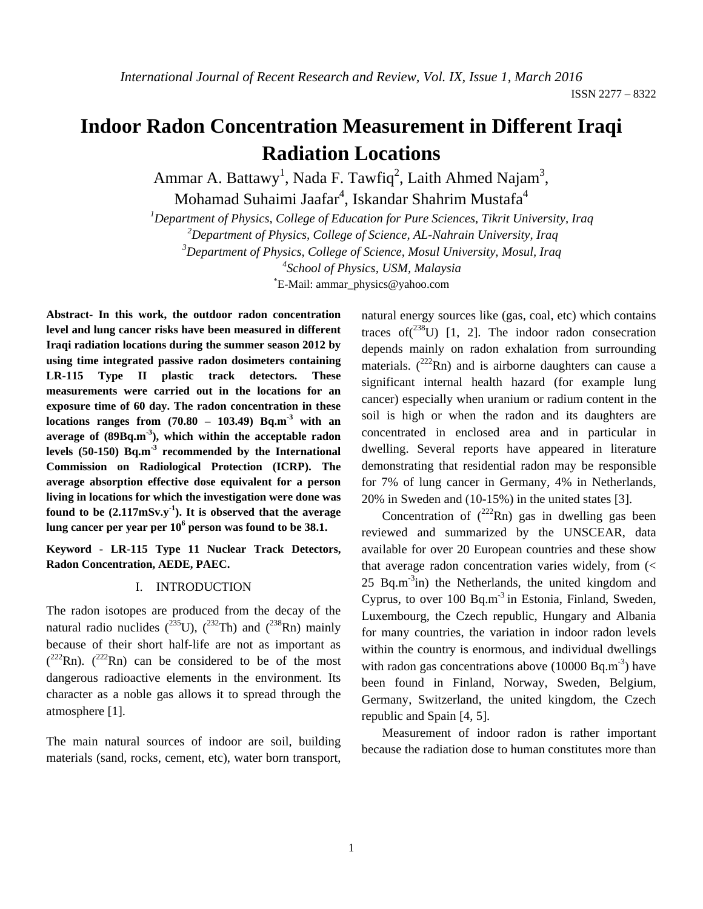# **Indoor Radon Concentration Measurement in Different Iraqi Radiation Locations**

Ammar A. Battawy<sup>1</sup>, Nada F. Tawfiq<sup>2</sup>, Laith Ahmed Najam<sup>3</sup>,

Mohamad Suhaimi Jaafar<sup>4</sup>, Iskandar Shahrim Mustafa<sup>4</sup>

*1 Department of Physics, College of Education for Pure Sciences, Tikrit University, Iraq* 

 *2Department of Physics, College of Science, AL-Nahrain University, Iraq* 

*3 Department of Physics, College of Science, Mosul University, Mosul, Iraq* 

*4 School of Physics, USM, Malaysia* 

\* E-Mail: ammar\_physics@yahoo.com

**Abstract- In this work, the outdoor radon concentration level and lung cancer risks have been measured in different Iraqi radiation locations during the summer season 2012 by using time integrated passive radon dosimeters containing LR-115 Type II plastic track detectors. These measurements were carried out in the locations for an exposure time of 60 day. The radon concentration in these locations ranges from (70.80 – 103.49) Bq.m-3 with an average of (89Bq.m-3), which within the acceptable radon levels (50-150) Bq.m-3 recommended by the International Commission on Radiological Protection (ICRP). The average absorption effective dose equivalent for a person living in locations for which the investigation were done was found to be (2.117mSv.y-1). It is observed that the average lung cancer per year per 10<sup>6</sup> person was found to be 38.1.** 

**Keyword - LR-115 Type 11 Nuclear Track Detectors, Radon Concentration, AEDE, PAEC.** 

### I. INTRODUCTION

The radon isotopes are produced from the decay of the natural radio nuclides  $(^{235}U)$ ,  $(^{232}Th)$  and  $(^{238}Rn)$  mainly because of their short half-life are not as important as  $(^{222}$ Rn).  $(^{222}$ Rn) can be considered to be of the most dangerous radioactive elements in the environment. Its character as a noble gas allows it to spread through the atmosphere [1].

The main natural sources of indoor are soil, building materials (sand, rocks, cement, etc), water born transport, natural energy sources like (gas, coal, etc) which contains traces of  $(238)$  [1, 2]. The indoor radon consecration depends mainly on radon exhalation from surrounding materials.  $(^{222}$ Rn) and is airborne daughters can cause a significant internal health hazard (for example lung cancer) especially when uranium or radium content in the soil is high or when the radon and its daughters are concentrated in enclosed area and in particular in dwelling. Several reports have appeared in literature demonstrating that residential radon may be responsible for 7% of lung cancer in Germany, 4% in Netherlands, 20% in Sweden and (10-15%) in the united states [3].

Concentration of  $(^{222}Rn)$  gas in dwelling gas been reviewed and summarized by the UNSCEAR, data available for over 20 European countries and these show that average radon concentration varies widely, from (< 25 Bq.m<sup>-3</sup>in) the Netherlands, the united kingdom and Cyprus, to over  $100$  Bq.m<sup>-3</sup> in Estonia, Finland, Sweden, Luxembourg, the Czech republic, Hungary and Albania for many countries, the variation in indoor radon levels within the country is enormous, and individual dwellings with radon gas concentrations above  $(10000 \text{ Bg.m}^{-3})$  have been found in Finland, Norway, Sweden, Belgium, Germany, Switzerland, the united kingdom, the Czech republic and Spain [4, 5].

Measurement of indoor radon is rather important because the radiation dose to human constitutes more than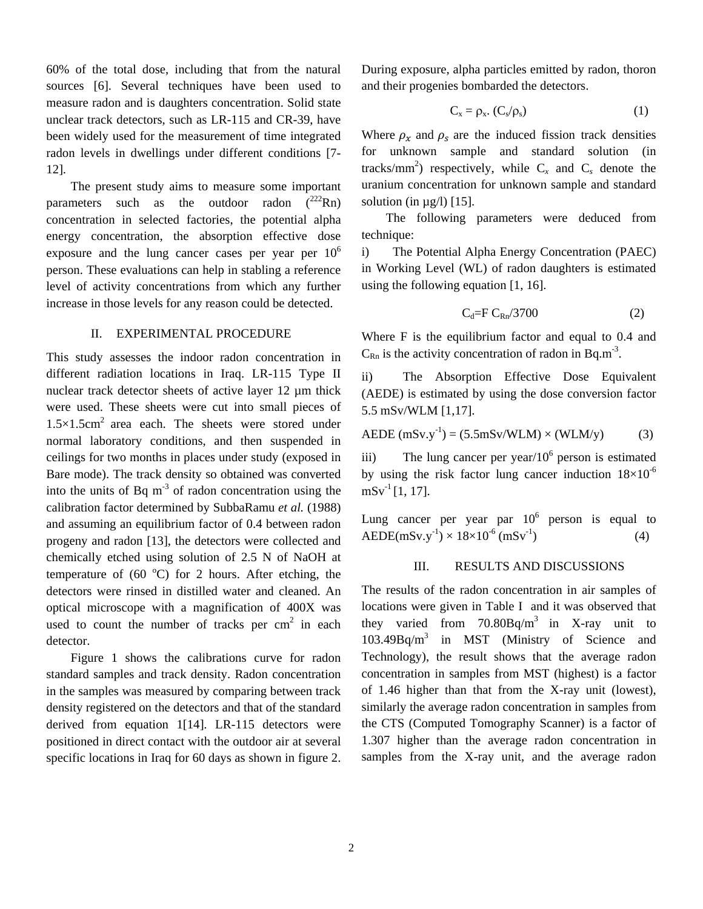60% of the total dose, including that from the natural sources [6]. Several techniques have been used to measure radon and is daughters concentration. Solid state unclear track detectors, such as LR-115 and CR-39, have been widely used for the measurement of time integrated radon levels in dwellings under different conditions [7- 12].

The present study aims to measure some important parameters such as the outdoor radon  $(^{222}Rn)$ concentration in selected factories, the potential alpha energy concentration, the absorption effective dose exposure and the lung cancer cases per year per  $10<sup>6</sup>$ person. These evaluations can help in stabling a reference level of activity concentrations from which any further increase in those levels for any reason could be detected.

#### II. EXPERIMENTAL PROCEDURE

This study assesses the indoor radon concentration in different radiation locations in Iraq. LR-115 Type II nuclear track detector sheets of active layer 12 µm thick were used. These sheets were cut into small pieces of  $1.5\times1.5$ cm<sup>2</sup> area each. The sheets were stored under normal laboratory conditions, and then suspended in ceilings for two months in places under study (exposed in Bare mode). The track density so obtained was converted into the units of Bq  $m<sup>-3</sup>$  of radon concentration using the calibration factor determined by SubbaRamu *et al.* (1988) and assuming an equilibrium factor of 0.4 between radon progeny and radon [13], the detectors were collected and chemically etched using solution of 2.5 N of NaOH at temperature of  $(60 °C)$  for 2 hours. After etching, the detectors were rinsed in distilled water and cleaned. An optical microscope with a magnification of 400X was used to count the number of tracks per  $cm<sup>2</sup>$  in each detector.

Figure 1 shows the calibrations curve for radon standard samples and track density. Radon concentration in the samples was measured by comparing between track density registered on the detectors and that of the standard derived from equation 1[14]. LR-115 detectors were positioned in direct contact with the outdoor air at several specific locations in Iraq for 60 days as shown in figure 2.

During exposure, alpha particles emitted by radon, thoron and their progenies bombarded the detectors.

$$
C_x = \rho_x \cdot (C_s/\rho_s) \tag{1}
$$

Where  $\rho_r$  and  $\rho_s$  are the induced fission track densities for unknown sample and standard solution (in tracks/mm<sup>2</sup>) respectively, while  $C_x$  and  $C_s$  denote the uranium concentration for unknown sample and standard solution (in  $\mu$ g/l) [15].

The following parameters were deduced from technique:

i) The Potential Alpha Energy Concentration (PAEC) in Working Level (WL) of radon daughters is estimated using the following equation [1, 16].

$$
C_d = F C_{Rn}/3700 \tag{2}
$$

Where F is the equilibrium factor and equal to 0.4 and  $C_{\text{Rn}}$  is the activity concentration of radon in Bq.m<sup>-3</sup>.

ii) The Absorption Effective Dose Equivalent (AEDE) is estimated by using the dose conversion factor 5.5 mSv/WLM [1,17].

$$
AEDE (mSv.y^{-1}) = (5.5mSv/WLM) \times (WLM/y)
$$
 (3)

iii) The lung cancer per year/ $10^6$  person is estimated by using the risk factor lung cancer induction  $18\times10^{-6}$  $mSv<sup>-1</sup>[1, 17].$ 

Lung cancer per year par  $10^6$  person is equal to AEDE(mSv.y<sup>-1</sup>) ×  $18 \times 10^{-6}$  (mSv<sup>-1</sup>) (4)

#### III. RESULTS AND DISCUSSIONS

The results of the radon concentration in air samples of locations were given in Table I and it was observed that they varied from  $70.80Bq/m^3$  in X-ray unit to 103.49Bq/m3 in MST (Ministry of Science and Technology), the result shows that the average radon concentration in samples from MST (highest) is a factor of 1.46 higher than that from the X-ray unit (lowest), similarly the average radon concentration in samples from the CTS (Computed Tomography Scanner) is a factor of 1.307 higher than the average radon concentration in samples from the X-ray unit, and the average radon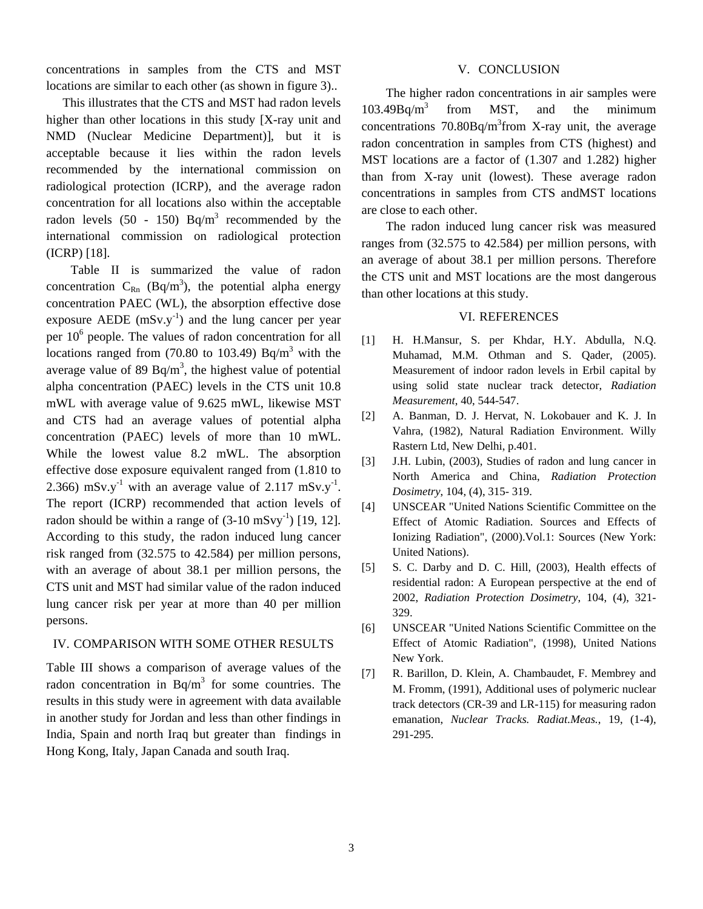concentrations in samples from the CTS and MST locations are similar to each other (as shown in figure 3)...

This illustrates that the CTS and MST had radon levels higher than other locations in this study [X-ray unit and NMD (Nuclear Medicine Department)], but it is acceptable because it lies within the radon levels recommended by the international commission on radiological protection (ICRP), and the average radon concentration for all locations also within the acceptable radon levels  $(50 - 150)$  Bq/m<sup>3</sup> recommended by the international commission on radiological protection (ICRP) [18].

Table II is summarized the value of radon concentration  $C_{\text{Rn}}$  (Bq/m<sup>3</sup>), the potential alpha energy concentration PAEC (WL), the absorption effective dose exposure AEDE ( $mSv.v^{-1}$ ) and the lung cancer per year per 10<sup>6</sup> people. The values of radon concentration for all locations ranged from  $(70.80 \text{ to } 103.49)$  Bq/m<sup>3</sup> with the average value of 89  $Bq/m<sup>3</sup>$ , the highest value of potential alpha concentration (PAEC) levels in the CTS unit 10.8 mWL with average value of 9.625 mWL, likewise MST and CTS had an average values of potential alpha concentration (PAEC) levels of more than 10 mWL. While the lowest value 8.2 mWL. The absorption effective dose exposure equivalent ranged from (1.810 to 2.366) mSv.y<sup>-1</sup> with an average value of 2.117 mSv.y<sup>-1</sup>. The report (ICRP) recommended that action levels of radon should be within a range of  $(3-10 \text{ mS} \text{v} \text{y}^{-1})$  [19, 12]. According to this study, the radon induced lung cancer risk ranged from (32.575 to 42.584) per million persons, with an average of about 38.1 per million persons, the CTS unit and MST had similar value of the radon induced lung cancer risk per year at more than 40 per million persons.

## IV. COMPARISON WITH SOME OTHER RESULTS

Table III shows a comparison of average values of the radon concentration in  $Bq/m<sup>3</sup>$  for some countries. The results in this study were in agreement with data available in another study for Jordan and less than other findings in India, Spain and north Iraq but greater than findings in Hong Kong, Italy, Japan Canada and south Iraq.

#### V. CONCLUSION

The higher radon concentrations in air samples were  $103.49$ Bg/m<sup>3</sup> from MST, and the minimum concentrations  $70.80Bq/m<sup>3</sup>$  from X-ray unit, the average radon concentration in samples from CTS (highest) and MST locations are a factor of (1.307 and 1.282) higher than from X-ray unit (lowest). These average radon concentrations in samples from CTS andMST locations are close to each other.

The radon induced lung cancer risk was measured ranges from (32.575 to 42.584) per million persons, with an average of about 38.1 per million persons. Therefore the CTS unit and MST locations are the most dangerous than other locations at this study.

#### VI. REFERENCES

- [1] H. H.Mansur, S. per Khdar, H.Y. Abdulla, N.Q. Muhamad, M.M. Othman and S. Qader, (2005). Measurement of indoor radon levels in Erbil capital by using solid state nuclear track detector, *Radiation Measurement*, 40, 544-547.
- [2] A. Banman, D. J. Hervat, N. Lokobauer and K. J. In Vahra, (1982), Natural Radiation Environment. Willy Rastern Ltd, New Delhi, p.401.
- [3] J.H. Lubin, (2003), Studies of radon and lung cancer in North America and China, *Radiation Protection Dosimetry*, 104, (4), 315- 319.
- [4] UNSCEAR "United Nations Scientific Committee on the Effect of Atomic Radiation. Sources and Effects of Ionizing Radiation", (2000).Vol.1: Sources (New York: United Nations).
- [5] S. C. Darby and D. C. Hill, (2003), Health effects of residential radon: A European perspective at the end of 2002, *Radiation Protection Dosimetry*, 104, (4), 321- 329.
- [6] UNSCEAR "United Nations Scientific Committee on the Effect of Atomic Radiation", (1998), United Nations New York.
- [7] R. Barillon, D. Klein, A. Chambaudet, F. Membrey and M. Fromm, (1991), Additional uses of polymeric nuclear track detectors (CR-39 and LR-115) for measuring radon emanation, *Nuclear Tracks. Radiat.Meas.*, 19, (1-4), 291-295.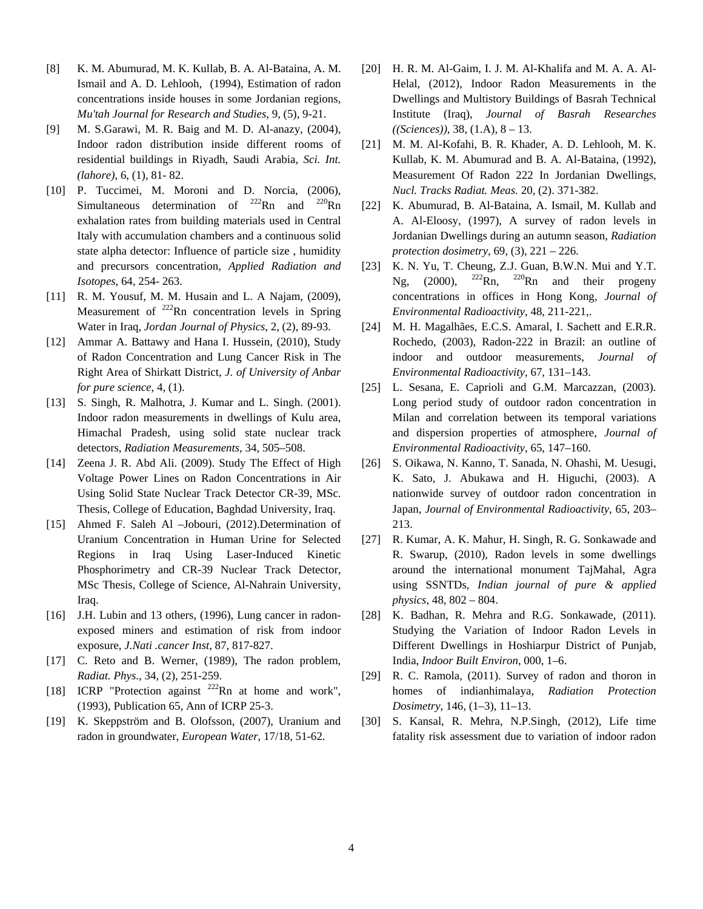- [8] K. M. Abumurad, M. K. Kullab, B. A. Al-Bataina, A. M. Ismail and A. D. Lehlooh, (1994), Estimation of radon concentrations inside houses in some Jordanian regions, *Mu'tah Journal for Research and Studies*, 9, (5), 9-21.
- [9] M. S.Garawi, M. R. Baig and M. D. Al-anazy, (2004), Indoor radon distribution inside different rooms of residential buildings in Riyadh, Saudi Arabia, *Sci. Int. (lahore)*, 6, (1), 81- 82.
- [10] P. Tuccimei, M. Moroni and D. Norcia, (2006), Simultaneous determination of  $^{222}$ Rn and  $^{220}$ Rn exhalation rates from building materials used in Central Italy with accumulation chambers and a continuous solid state alpha detector: Influence of particle size , humidity and precursors concentration, *Applied Radiation and Isotopes*, 64, 254- 263.
- [11] R. M. Yousuf, M. M. Husain and L. A Najam, (2009), Measurement of  $^{222}$ Rn concentration levels in Spring Water in Iraq, *Jordan Journal of Physics*, 2, (2), 89-93.
- [12] Ammar A. Battawy and Hana I. Hussein, (2010), Study of Radon Concentration and Lung Cancer Risk in The Right Area of Shirkatt District, *J. of University of Anbar for pure science*, 4, (1).
- [13] S. Singh, R. Malhotra, J. Kumar and L. Singh. (2001). Indoor radon measurements in dwellings of Kulu area, Himachal Pradesh, using solid state nuclear track detectors, *Radiation Measurements*, 34, 505–508.
- [14] Zeena J. R. Abd Ali. (2009). Study The Effect of High Voltage Power Lines on Radon Concentrations in Air Using Solid State Nuclear Track Detector CR-39, MSc. Thesis, College of Education, Baghdad University, Iraq.
- [15] Ahmed F. Saleh Al –Jobouri, (2012).Determination of Uranium Concentration in Human Urine for Selected Regions in Iraq Using Laser-Induced Kinetic Phosphorimetry and CR-39 Nuclear Track Detector, MSc Thesis, College of Science, Al-Nahrain University, Iraq.
- [16] J.H. Lubin and 13 others, (1996), Lung cancer in radonexposed miners and estimation of risk from indoor exposure, *J.Nati .cancer Inst*, 87, 817-827.
- [17] C. Reto and B. Werner, (1989), The radon problem, *Radiat. Phys*., 34, (2), 251-259.
- [18] ICRP "Protection against <sup>222</sup>Rn at home and work", (1993), Publication 65, Ann of ICRP 25-3.
- [19] K. Skeppström and B. Olofsson, (2007), Uranium and radon in groundwater, *European Water*, 17/18, 51-62.
- [20] H. R. M. Al-Gaim, I. J. M. Al-Khalifa and M. A. A. Al-Helal, (2012), Indoor Radon Measurements in the Dwellings and Multistory Buildings of Basrah Technical Institute (Iraq), *Journal of Basrah Researches ((Sciences))*, 38, (1.A), 8 – 13.
- [21] M. M. Al-Kofahi, B. R. Khader, A. D. Lehlooh, M. K. Kullab, K. M. Abumurad and B. A. Al-Bataina, (1992), Measurement Of Radon 222 In Jordanian Dwellings, *Nucl. Tracks Radiat. Meas.* 20, (2). 371-382.
- [22] K. Abumurad, B. Al-Bataina, A. Ismail, M. Kullab and A. Al-Eloosy, (1997), A survey of radon levels in Jordanian Dwellings during an autumn season, *Radiation protection dosimetry*, 69, (3), 221 – 226.
- [23] K. N. Yu, T. Cheung, Z.J. Guan, B.W.N. Mui and Y.T. Ng, (2000),  $^{222}$ Rn,  $^{220}$ Rn and their progeny concentrations in offices in Hong Kong, *Journal of Environmental Radioactivity*, 48, 211-221,.
- [24] M. H. Magalhães, E.C.S. Amaral, I. Sachett and E.R.R. Rochedo, (2003), Radon-222 in Brazil: an outline of indoor and outdoor measurements, *Journal of Environmental Radioactivity*, 67, 131–143.
- [25] L. Sesana, E. Caprioli and G.M. Marcazzan, (2003). Long period study of outdoor radon concentration in Milan and correlation between its temporal variations and dispersion properties of atmosphere, *Journal of Environmental Radioactivity*, 65, 147–160.
- [26] S. Oikawa, N. Kanno, T. Sanada, N. Ohashi, M. Uesugi, K. Sato, J. Abukawa and H. Higuchi, (2003). A nationwide survey of outdoor radon concentration in Japan, *Journal of Environmental Radioactivity*, 65, 203– 213.
- [27] R. Kumar, A. K. Mahur, H. Singh, R. G. Sonkawade and R. Swarup, (2010), Radon levels in some dwellings around the international monument TajMahal, Agra using SSNTDs, *Indian journal of pure & applied physics*, 48, 802 – 804.
- [28] K. Badhan, R. Mehra and R.G. Sonkawade, (2011). Studying the Variation of Indoor Radon Levels in Different Dwellings in Hoshiarpur District of Punjab, India, *Indoor Built Environ*, 000, 1–6.
- [29] R. C. Ramola, (2011). Survey of radon and thoron in homes of indianhimalaya, *Radiation Protection Dosimetry*, 146, (1–3), 11–13.
- [30] S. Kansal, R. Mehra, N.P.Singh, (2012), Life time fatality risk assessment due to variation of indoor radon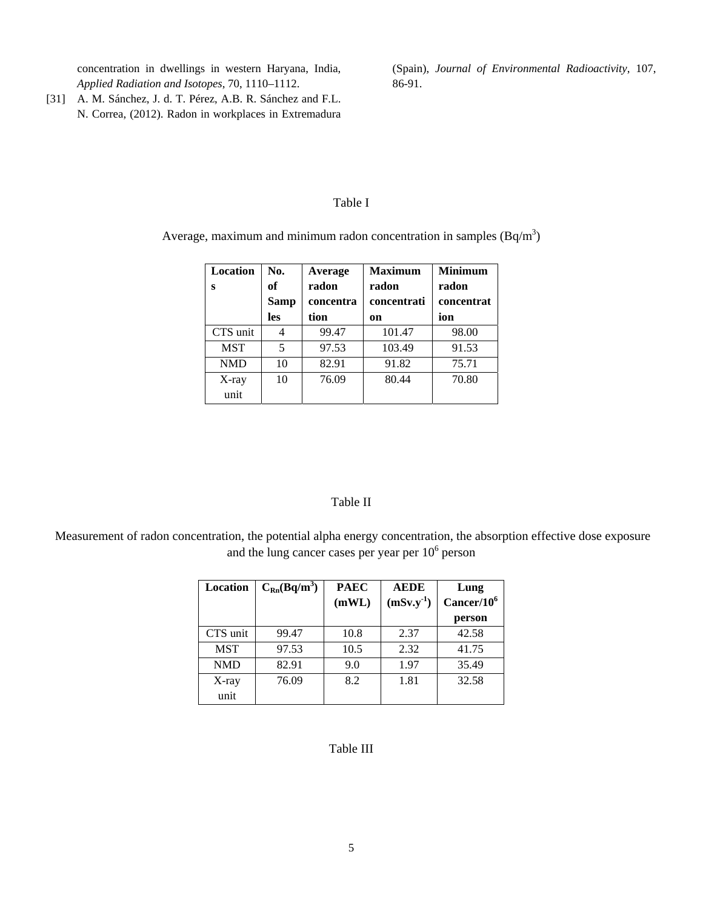concentration in dwellings in western Haryana, India, *Applied Radiation and Isotopes*, 70, 1110–1112.

[31] A. M. Sánchez, J. d. T. Pérez, A.B. R. Sánchez and F.L. N. Correa, (2012). Radon in workplaces in Extremadura (Spain), *Journal of Environmental Radioactivity*, 107, 86-91.

# Table I

Average, maximum and minimum radon concentration in samples  $(Bq/m^3)$ 

| Location<br>S | No.<br>оf<br><b>Samp</b><br>les | Average<br>radon<br>concentra<br>tion | <b>Maximum</b><br>radon<br>concentrati<br>on | <b>Minimum</b><br>radon<br>concentrat<br>ion |
|---------------|---------------------------------|---------------------------------------|----------------------------------------------|----------------------------------------------|
| CTS unit      |                                 | 99.47                                 | 101.47                                       | 98.00                                        |
| <b>MST</b>    | 5                               | 97.53                                 | 103.49                                       | 91.53                                        |
| <b>NMD</b>    | 10                              | 82.91                                 | 91.82                                        | 75.71                                        |
| X-ray         | 10                              | 76.09                                 | 80.44                                        | 70.80                                        |
| unit          |                                 |                                       |                                              |                                              |

### Table II

 Measurement of radon concentration, the potential alpha energy concentration, the absorption effective dose exposure and the lung cancer cases per year per  $10<sup>6</sup>$  person

| Location   | $C_{Rn}(Bq/m^3)$ | <b>PAEC</b> | <b>AEDE</b> | Lung          |
|------------|------------------|-------------|-------------|---------------|
|            |                  | (mWL)       | $(mSv.y-1)$ | $Cancer/10^6$ |
|            |                  |             |             | person        |
| CTS unit   | 99.47            | 10.8        | 2.37        | 42.58         |
| <b>MST</b> | 97.53            | 10.5        | 2.32        | 41.75         |
| <b>NMD</b> | 82.91            | 9.0         | 1.97        | 35.49         |
| $X$ -ray   | 76.09            | 8.2         | 1.81        | 32.58         |
| unit       |                  |             |             |               |

# Table III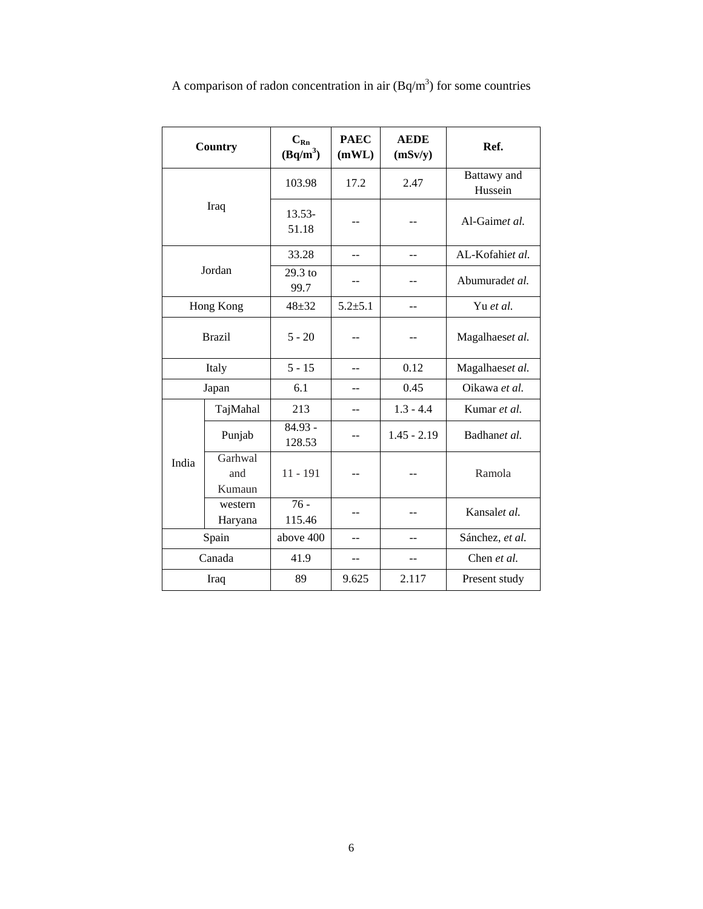| <b>Country</b> |                          | $C_{Rn}$<br>$(Bq/m^3)$ | <b>PAEC</b><br>(mWL) | <b>AEDE</b><br>(mSv/y) | Ref.                   |
|----------------|--------------------------|------------------------|----------------------|------------------------|------------------------|
| Iraq           |                          | 103.98                 | 17.2                 | 2.47                   | Battawy and<br>Hussein |
|                |                          | 13.53-<br>51.18        |                      |                        | Al-Gaimet al.          |
| Jordan         |                          | 33.28                  | --                   | --                     | AL-Kofahiet al.        |
|                |                          | 29.3 to<br>99.7        | --                   |                        | Abumuradet al.         |
| Hong Kong      |                          | $48 + 32$              | $5.2 \pm 5.1$        | $\sim$                 | Yu et al.              |
| <b>Brazil</b>  |                          | $5 - 20$               | --                   |                        | Magalhaeset al.        |
| Italy          |                          | $5 - 15$               | $-$                  | 0.12                   | Magalhaeset al.        |
| Japan          |                          | 6.1                    | --                   | 0.45                   | Oikawa et al.          |
| India          | TajMahal                 | 213                    |                      | $1.3 - 4.4$            | Kumar et al.           |
|                | Punjab                   | 84.93 -<br>128.53      | --                   | $1.45 - 2.19$          | Badhanet al.           |
|                | Garhwal<br>and<br>Kumaun | $11 - 191$             |                      |                        | Ramola                 |
|                | western<br>Haryana       | $76 -$<br>115.46       | --                   |                        | Kansalet al.           |
| Spain          |                          | above 400              | --                   | --                     | Sánchez, et al.        |
| Canada         |                          | 41.9                   | --                   |                        | Chen et al.            |
| Iraq           |                          | 89                     | 9.625                | 2.117                  | Present study          |

A comparison of radon concentration in air  $(Bq/m<sup>3</sup>)$  for some countries